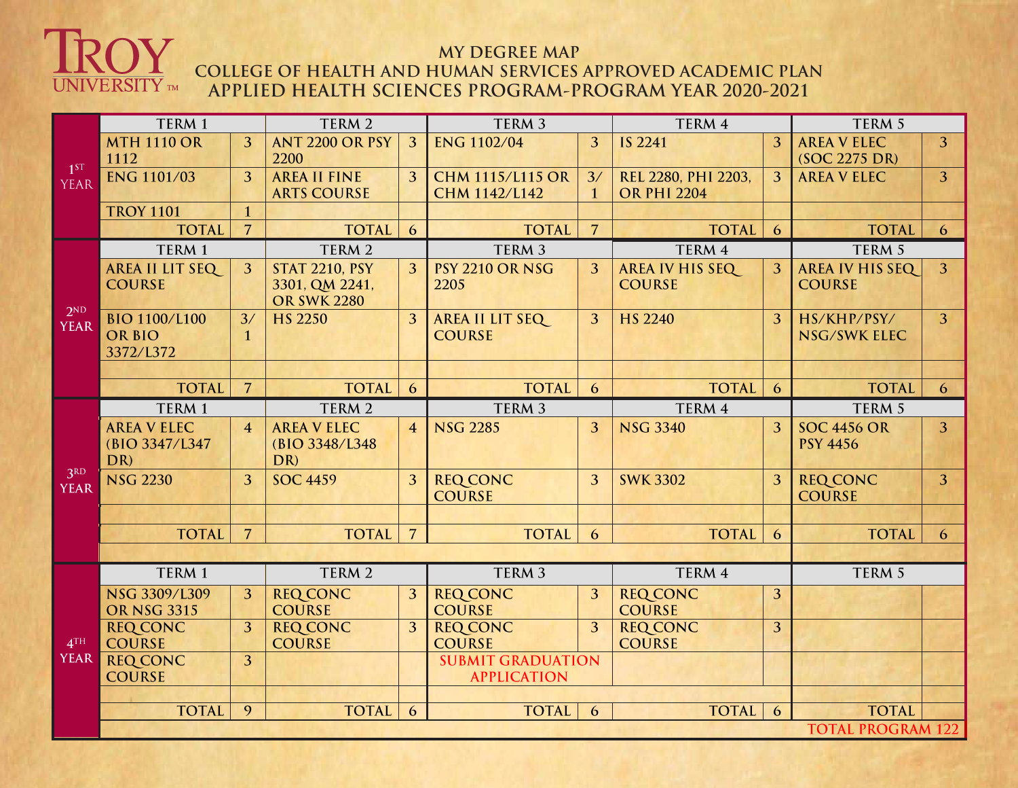

## **MY DEGREE MAP COLLEGE OF HEALTH AND HUMAN SERVICES APPROVED ACADEMIC PLAN APPLIED HEALTH SCIENCES PROGRAM-PROGRAM YEAR 2020-2021**

| 1 <sup>ST</sup><br><b>YEAR</b> | TERM <sub>1</sub>                                  |                   | TERM 2                                                        |                | TERM 3                                   |                          | TERM 4                                    |                | TERM 5                                  |                |
|--------------------------------|----------------------------------------------------|-------------------|---------------------------------------------------------------|----------------|------------------------------------------|--------------------------|-------------------------------------------|----------------|-----------------------------------------|----------------|
|                                | <b>MTH 1110 OR</b><br>1112                         | 3                 | <b>ANT 2200 OR PSY</b><br>2200                                | 3              | <b>ENG 1102/04</b>                       | 3                        | <b>IS 2241</b>                            | 3              | <b>AREA V ELEC</b><br>(SOC 2275 DR)     | 3 <sup>1</sup> |
|                                | <b>ENG 1101/03</b>                                 | $\overline{3}$    | <b>AREA II FINE</b><br><b>ARTS COURSE</b>                     | 3              | <b>CHM 1115/L115 OR</b><br>CHM 1142/L142 | 3/<br>$\mathbf{1}$       | REL 2280, PHI 2203,<br><b>OR PHI 2204</b> | 3              | <b>AREA V ELEC</b>                      | 3              |
|                                | <b>TROY 1101</b>                                   | $\mathbf{1}$      |                                                               |                |                                          |                          |                                           |                |                                         |                |
| 2 <sub>ND</sub><br><b>YEAR</b> | <b>TOTAL</b>                                       | $\overline{7}$    | <b>TOTAL</b>                                                  | 6              | <b>TOTAL</b>                             | $\overline{7}$           | <b>TOTAL</b>                              | 6              | <b>TOTAL</b>                            | 6              |
|                                | TERM 1                                             |                   | TERM 2                                                        |                | TERM <sub>3</sub>                        |                          | TERM 4                                    |                | TERM 5                                  |                |
|                                | <b>AREA II LIT SEQ</b><br><b>COURSE</b>            | $\overline{3}$    | <b>STAT 2210, PSY</b><br>3301, QM 2241,<br><b>OR SWK 2280</b> | 3              | <b>PSY 2210 OR NSG</b><br>2205           | 3                        | <b>AREA IV HIS SEQ</b><br><b>COURSE</b>   | 3              | <b>AREA IV HIS SEQ</b><br><b>COURSE</b> | $\overline{3}$ |
|                                | <b>BIO 1100/L100</b><br><b>OR BIO</b><br>3372/L372 | 3/<br>$\mathbf 1$ | <b>HS 2250</b>                                                | 3              | AREA II LIT SEQ<br><b>COURSE</b>         | 3                        | HS 2240                                   | 3              | HS/KHP/PSY/<br><b>NSG/SWK ELEC</b>      | $\overline{3}$ |
|                                |                                                    | $\overline{7}$    |                                                               |                |                                          |                          |                                           |                |                                         |                |
|                                | <b>TOTAL</b>                                       |                   | <b>TOTAL</b>                                                  | 6              | <b>TOTAL</b>                             | 6                        | <b>TOTAL</b>                              | 6              | <b>TOTAL</b>                            | 6              |
|                                | TERM 1<br><b>AREA V ELEC</b>                       | $\overline{4}$    | TERM <sub>2</sub><br><b>AREA V ELEC</b>                       | $\overline{4}$ | TERM <sub>3</sub><br><b>NSG 2285</b>     | 3                        | TERM 4<br><b>NSG 3340</b>                 | $\overline{3}$ | TERM <sub>5</sub><br><b>SOC 4456 OR</b> | 3 <sup>1</sup> |
| 3RD<br><b>YEAR</b>             | (BIO 3347/L347<br>DR)                              |                   | (BIO 3348/L348)<br>DR)                                        |                |                                          |                          |                                           |                | <b>PSY 4456</b>                         |                |
|                                | <b>NSG 2230</b>                                    | 3                 | <b>SOC 4459</b>                                               | 3              | <b>REQ CONC</b><br><b>COURSE</b>         | 3                        | <b>SWK 3302</b>                           | 3              | <b>REQ CONC</b><br><b>COURSE</b>        | 3              |
|                                |                                                    |                   |                                                               |                |                                          |                          |                                           |                |                                         |                |
|                                | <b>TOTAL</b>                                       | $\overline{7}$    | <b>TOTAL</b>                                                  | $\overline{7}$ | <b>TOTAL</b>                             | 6                        | <b>TOTAL</b>                              | 6              | <b>TOTAL</b>                            | 6              |
|                                | TERM 1                                             |                   | TERM 2                                                        |                | TERM <sub>3</sub>                        |                          | TERM 4                                    |                | TERM 5                                  |                |
|                                | NSG 3309/L309                                      | 3 <sup>2</sup>    | <b>REQ CONC</b>                                               | 3              | <b>REQ CONC</b>                          | 3                        | <b>REQ CONC</b>                           | 3              |                                         |                |
|                                | <b>OR NSG 3315</b>                                 |                   | <b>COURSE</b>                                                 |                | <b>COURSE</b>                            |                          | <b>COURSE</b>                             |                |                                         |                |
| 4 <sup>TH</sup><br><b>YEAR</b> | <b>REQ CONC</b><br><b>COURSE</b>                   | 3                 | <b>REQ CONC</b><br><b>COURSE</b>                              | 3              | <b>REQ CONC</b><br><b>COURSE</b>         | 3                        | <b>REQ CONC</b><br><b>COURSE</b>          | 3              |                                         |                |
|                                | <b>REQ CONC</b><br><b>COURSE</b>                   | $\overline{3}$    |                                                               |                | <b>APPLICATION</b>                       | <b>SUBMIT GRADUATION</b> |                                           |                |                                         |                |
|                                | <b>TOTAL</b>                                       | 9                 | <b>TOTAL</b>                                                  | 6              | <b>TOTAL</b>                             | 6                        | <b>TOTAL</b>                              | 6              | <b>TOTAL</b>                            |                |
|                                | <b>TOTAL PROGRAM 122</b>                           |                   |                                                               |                |                                          |                          |                                           |                |                                         |                |
|                                |                                                    |                   |                                                               |                |                                          |                          |                                           |                |                                         |                |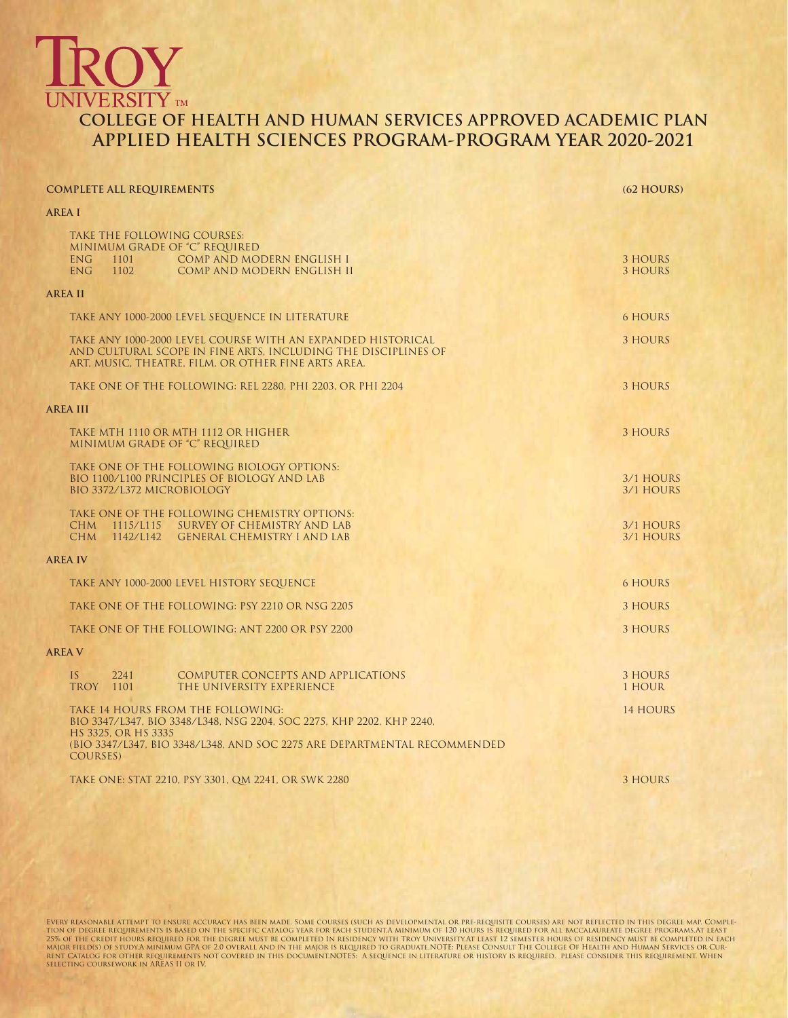## **UNIVERSITY** TM **COLLEGE OF HEALTH AND HUMAN SERVICES APPROVED ACADEMIC PLAN APPLIED HEALTH SCIENCES PROGRAM-PROGRAM YEAR 2020-2021**

| <b>COMPLETE ALL REQUIREMENTS</b>                                                                                                                                                    | (62 HOURS)                |
|-------------------------------------------------------------------------------------------------------------------------------------------------------------------------------------|---------------------------|
| AREA I                                                                                                                                                                              |                           |
| TAKE THE FOLLOWING COURSES:<br>MINIMUM GRADE OF "C" REQUIRED<br>COMP AND MODERN ENGLISH I<br><b>ENG</b><br>1101<br><b>ENG</b><br>1102<br>COMP AND MODERN ENGLISH II                 | 3 HOURS<br><b>3 HOURS</b> |
| <b>AREA II</b>                                                                                                                                                                      |                           |
| TAKE ANY 1000-2000 LEVEL SEQUENCE IN LITERATURE                                                                                                                                     | <b>6 HOURS</b>            |
| TAKE ANY 1000-2000 LEVEL COURSE WITH AN EXPANDED HISTORICAL<br>AND CULTURAL SCOPE IN FINE ARTS, INCLUDING THE DISCIPLINES OF<br>ART, MUSIC, THEATRE, FILM, OR OTHER FINE ARTS AREA. | 3 HOURS                   |
| TAKE ONE OF THE FOLLOWING: REL 2280, PHI 2203, OR PHI 2204                                                                                                                          | <b>3 HOURS</b>            |
| <b>AREA III</b>                                                                                                                                                                     |                           |
| TAKE MTH 1110 OR MTH 1112 OR HIGHER<br>MINIMUM GRADE OF "C" REQUIRED                                                                                                                | 3 HOURS                   |
| TAKE ONE OF THE FOLLOWING BIOLOGY OPTIONS:<br>BIO 1100/L100 PRINCIPLES OF BIOLOGY AND LAB<br>BIO 3372/L372 MICROBIOLOGY                                                             | 3/1 HOURS<br>3/1 HOURS    |
| TAKE ONE OF THE FOLLOWING CHEMISTRY OPTIONS:<br>CHM 1115/L115 SURVEY OF CHEMISTRY AND LAB<br>CHM 1142/L142 GENERAL CHEMISTRY I AND LAB                                              | 3/1 HOURS<br>3/1 HOURS    |
| <b>AREA IV</b>                                                                                                                                                                      |                           |
| TAKE ANY 1000-2000 LEVEL HISTORY SEQUENCE                                                                                                                                           | <b>6 HOURS</b>            |
| TAKE ONE OF THE FOLLOWING: PSY 2210 OR NSG 2205                                                                                                                                     | 3 HOURS                   |
| TAKE ONE OF THE FOLLOWING: ANT 2200 OR PSY 2200                                                                                                                                     | 3 HOURS                   |
| <b>AREA V</b>                                                                                                                                                                       |                           |
| <b>COMPUTER CONCEPTS AND APPLICATIONS</b><br>IS<br>2241<br>TROY 1101<br>THE UNIVERSITY EXPERIENCE                                                                                   | 3 HOURS<br>1 HOUR         |
| TAKE 14 HOURS FROM THE FOLLOWING:<br>BIO 3347/L347, BIO 3348/L348, NSG 2204, SOC 2275, KHP 2202, KHP 2240,<br>HS 3325, OR HS 3335                                                   | <b>14 HOURS</b>           |
| (BIO 3347/L347, BIO 3348/L348, AND SOC 2275 ARE DEPARTMENTAL RECOMMENDED<br>COURSES)                                                                                                |                           |
| TAKE ONE: STAT 2210, PSY 3301, QM 2241, OR SWK 2280                                                                                                                                 | 3 HOURS                   |

EVERY REASONABLE ATTEMPT TO ENSURE ACCURACY HAS BEEN MADE. SOME COURSES (SUCH AS DEVELOPMENTAL OR PRE-REQUISITE COURSES) ARE NOT REFLECTED IN THIS DEGREE MAP. COMPLE-<br>TION OF DEGREE REQUIREMENTS IS BASED ON THE SPECIFIC CA